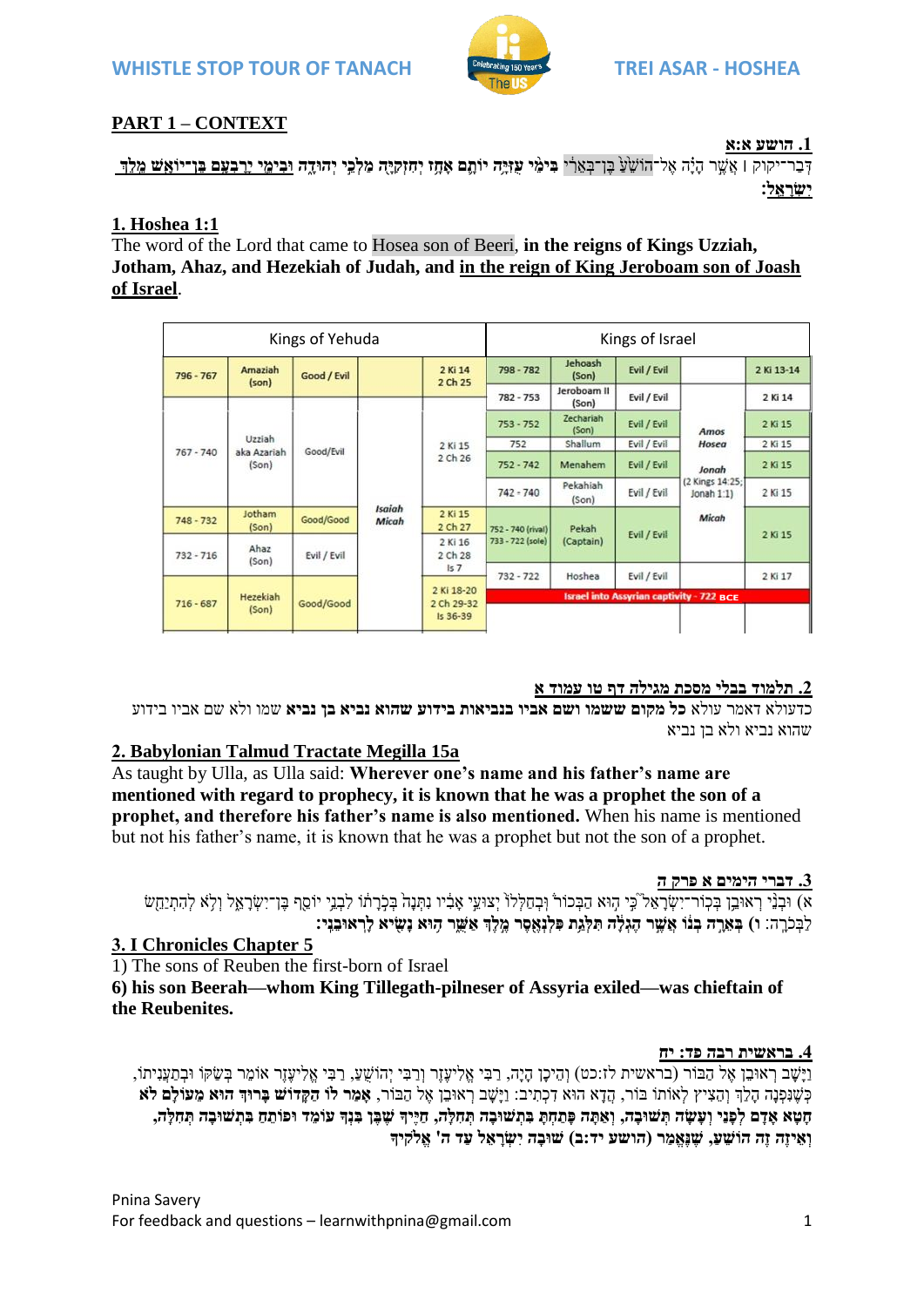

## **PART 1 – CONTEXT**

**.1 הושע א:א**

דְּבַר־יקוק | אֲשֱר הִיֹּה אֶל־הוֹשָׂעָ בֵ֣ו־בַּאֲרִ֫י בִּימֵי עזִיּֽה יוֹתֵֽם אִתָּו יָחִוּקִיה מִלְבֵּי יִחִוּדָה וּבִימֵי ירבִעִם בֵּוְ־יוֹאִשׁ מֵלֶךְ **יִשְ ר א ֵֽ ל׃**

### **1. Hoshea 1:1**

The word of the Lord that came to Hosea son of Beeri, **in the reigns of Kings Uzziah, Jotham, Ahaz, and Hezekiah of Judah, and in the reign of King Jeroboam son of Joash of Israel**.

| Kings of Yehuda |                                |             |                               |                                      | Kings of Israel                                 |                           |             |                                                                     |            |
|-----------------|--------------------------------|-------------|-------------------------------|--------------------------------------|-------------------------------------------------|---------------------------|-------------|---------------------------------------------------------------------|------------|
| 796 - 767       | Amaziah<br>(son)               | Good / Evil |                               | 2 Ki 14<br>2 Ch 25                   | 798 - 782                                       | Jehoash<br>(Son)          | Evil / Evil |                                                                     | 2 Ki 13-14 |
|                 |                                |             |                               |                                      | $782 - 753$                                     | Jeroboam II<br>(Son)      | Evil / Evil | Amos<br>Hosea<br>Jonah<br>(2 Kings 14:25;<br>Jonah $1:1$ )<br>Micah | 2 Ki 14    |
|                 | Uzziah<br>aka Azariah<br>(Son) | Good/Evil   | <b>Isaiah</b><br><b>Micah</b> | 2 Ki 15<br>2 Ch 26                   | $753 - 752$                                     | <b>Zechariah</b><br>(Son) | Evil / Evil |                                                                     | 2 Ki 15    |
|                 |                                |             |                               |                                      | 752                                             | Shallum                   | Evil / Evil |                                                                     | 2 Ki 15    |
| $767 - 740$     |                                |             |                               |                                      | $752 - 742$                                     | Menahem                   | Evil / Evil |                                                                     | 2 Ki 15    |
|                 |                                |             |                               |                                      | $742 - 740$                                     | Pekahiah<br>(Son)         | Evil / Evil |                                                                     | 2 Ki 15    |
| $748 - 732$     | Jotham<br>(Son)                | Good/Good   |                               | 2 Ki 15<br>2 Ch 27                   | 752 - 740 (rival)<br>733 - 722 (sole)           | Pekah<br>(Captain)        | Evil / Evil |                                                                     | 2 Ki 15    |
| $732 - 716$     | Ahaz<br>(Son)                  | Evil / Evil |                               | 2 Ki 16<br>2 Ch 28<br>157            |                                                 |                           |             |                                                                     |            |
|                 |                                |             |                               |                                      | $732 - 722$                                     | Hoshea                    | Evil / Evil |                                                                     | 2 Ki 17    |
| $716 - 687$     | Hezekiah<br>(Son)              | Good/Good   |                               | 2 Ki 18-20<br>2 Ch 29-32<br>Is 36-39 | <b>Israel into Assyrian captivity - 722 BCE</b> |                           |             |                                                                     |            |
|                 |                                |             |                               |                                      |                                                 |                           |             |                                                                     |            |

### **.2 תלמוד בבלי מסכת מגילה דף טו עמוד א**

כדעולא דאמר עולא **כל מקום ששמו ושם אביו בנביאות בידוע שהוא נביא בן נביא** שמו ולא שם אביו בידוע שהוא נביא ולא בן נביא

## **2. Babylonian Talmud Tractate Megilla 15a**

As taught by Ulla, as Ulla said: **Wherever one's name and his father's name are mentioned with regard to prophecy, it is known that he was a prophet the son of a prophet, and therefore his father's name is also mentioned.** When his name is mentioned but not his father's name, it is known that he was a prophet but not the son of a prophet.

### **.3 דברי הימים א פרק ה**

ֹא) וּבְנֵי רָאוּבֵן בִּכְוֹר־יִשְׂרַאֵל כֵּי הָוּא הַבְּכוֹר וְּבְחַלְלוֹ יְצוּעֵי אָבִיו נִתְנָה בְּלָרָתוֹ לִבְנֵי יוֹסֵף בֶּן־יִשְׂרָאֱל וְלָא לְהִתְיַחֲשֹ לַבְּכֹרֶה: ו) בְּאֵרֶה בְּנוֹ אֲשֶׁר הֶגְלָׂה תִּלְגַת פִּלְנְאֶסֶר מֶלֶךְ אַשֶּׁר הָוּא נָשִׂיא לְרְאוּבֵנִִי

## **3. I Chronicles Chapter 5**

1) The sons of Reuben the first-born of Israel

**6) his son Beerah—whom King Tillegath-pilneser of Assyria exiled—was chieftain of the Reubenites.**

### **.4 בראשית רבה פד: יח**

וַיָּשָׁב רְאוּבֵן אֶל הַבּוֹר (בראשית לז:כט) וְהֵיכָן הָיָה, רַבִּי אֱלִיעֶּזֶר וְרַבִּי יְהוֹשֵׁעַ, רַבִּי אֱלִיעֶזֶר אוֹמֵר בְּשַׂקּוֹ וּבְתַעֲנִיתוֹ, כְּשֶׁנָּפְנָה הָלַךְ וְהֶצִיץ לְאוֹתוֹ בּוֹר, הָדֵא הוּא דְכְתִיב: וַיַּשַׁב רְאוּבֵן אֵל הַבּוֹר, **אָמֵר לוֹ הַקַּדוֹש בַּרוּךְ הוּא מֵעוֹלֵם לֹא** חֵטַא אַדַם לִפְנֵי וְעָשָׂה תְּשׁוּבָה, וְאַתָּה פְּתִחָת בְּתְשׁוּבָה תְחָלָה, חַיֵּיִךְ שֵׁבֶּן בִּנְדְּ עוֹמֶד וּפוֹתֵחַ בְּתְשׁוּבָה תִּחְלָה, וְ וְאֵיזֶה זֶה הוֹשֵׁעָ, שַׁנֵאֲמֵר (הושע יד:ב) שוּבה יִשְׂראֵל עַד ה' אֱלֹקִיךָ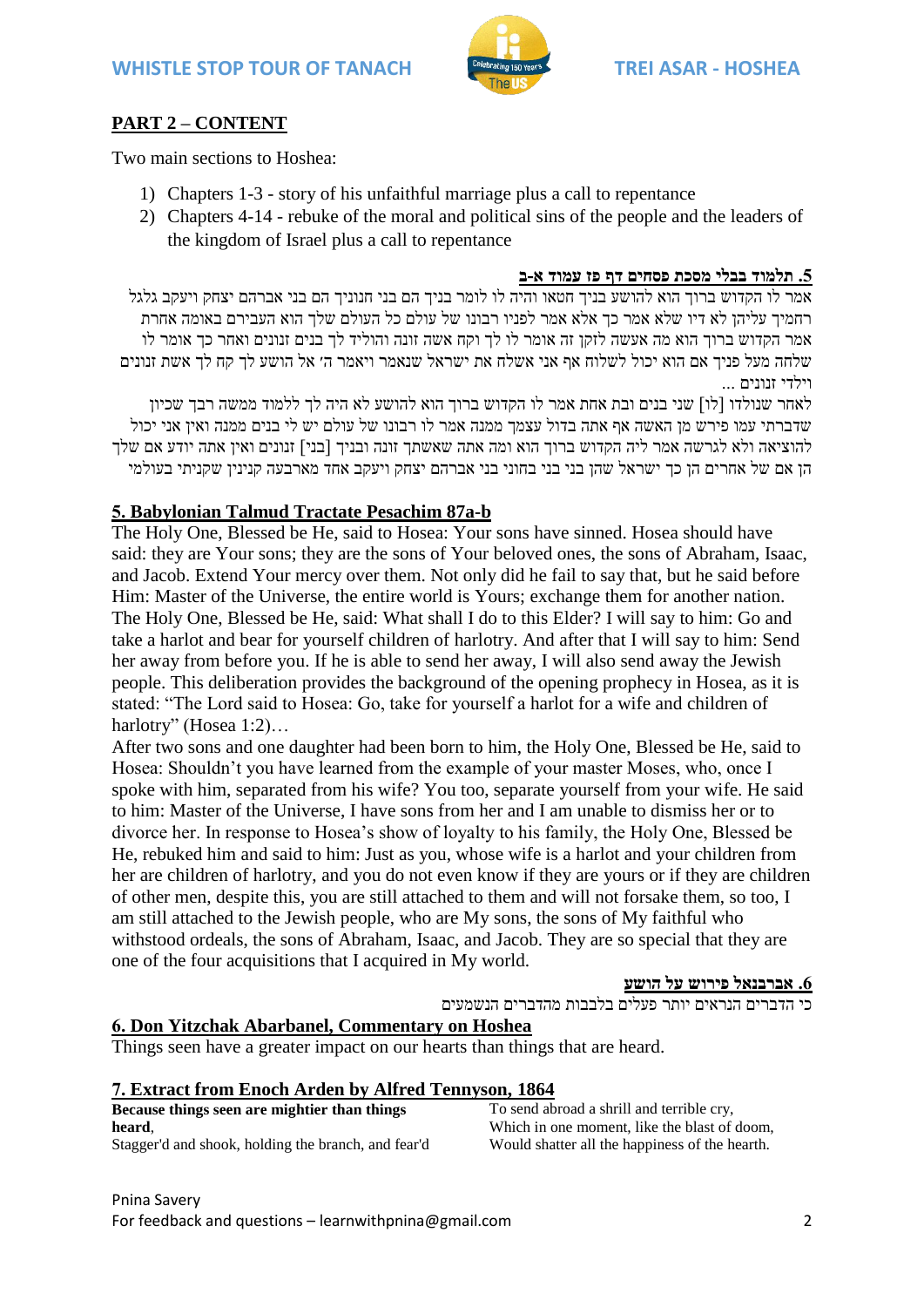

# **PART 2 – CONTENT**

Two main sections to Hoshea:

- 1) Chapters 1-3 story of his unfaithful marriage plus a call to repentance
- 2) Chapters 4-14 rebuke of the moral and political sins of the people and the leaders of the kingdom of Israel plus a call to repentance

### **.5 תלמוד בבלי מסכת פסחים דף פז עמוד א-ב**

אמר לו הקדוש ברוך הוא להושע בניך חטאו והיה לו לומר בניך הם בני חנוניך הם בני אברהם יצחק ויעקב גלגל רחמיך עליהן לא דיו שלא אמר כך אלא אמר לפניו רבונו של עולם כל העולם שלך הוא העבירם באומה אחרת אמר הקדוש ברוך הוא מה אעשה לזקן זה אומר לו לך וקח אשה זונה והוליד לך בנים זנונים ואחר כך אומר לו שלחה מעל פניך אם הוא יכול לשלוח אף אני אשלח את ישראל שנאמר ויאמר ה׳ אל הושע לך קח לך אשת זנונים וילדי זנונים ...

לאחר שנולדו ]לו[ שני בנים ובת אחת אמר לו הקדוש ברוך הוא להושע לא היה לך ללמוד ממשה רבך שכיון שדברתי עמו פירש מן האשה אף אתה בדול עצמך ממנה אמר לו רבונו של עולם יש לי בנים ממנה ואין אני יכול להוציאה ולא לגרשה אמר ליה הקדוש ברוך הוא ומה אתה שאשתך זונה ובניך ]בני[ זנונים ואין אתה יודע אם שלך הן אם של אחרים הן כך ישראל שהן בני בני בחוני בני אברהם יצחק ויעקב אחד מארבעה קנינין שקניתי בעולמי

## **5. Babylonian Talmud Tractate Pesachim 87a-b**

The Holy One, Blessed be He, said to Hosea: Your sons have sinned. Hosea should have said: they are Your sons; they are the sons of Your beloved ones, the sons of Abraham, Isaac, and Jacob. Extend Your mercy over them. Not only did he fail to say that, but he said before Him: Master of the Universe, the entire world is Yours; exchange them for another nation. The Holy One, Blessed be He, said: What shall I do to this Elder? I will say to him: Go and take a harlot and bear for yourself children of harlotry. And after that I will say to him: Send her away from before you. If he is able to send her away, I will also send away the Jewish people. This deliberation provides the background of the opening prophecy in Hosea, as it is stated: "The Lord said to Hosea: Go, take for yourself a harlot for a wife and children of harlotry" [\(Hosea 1:2\)](/Hosea.1.2)…

After two sons and one daughter had been born to him, the Holy One, Blessed be He, said to Hosea: Shouldn't you have learned from the example of your master Moses, who, once I spoke with him, separated from his wife? You too, separate yourself from your wife. He said to him: Master of the Universe, I have sons from her and I am unable to dismiss her or to divorce her. In response to Hosea's show of loyalty to his family, the Holy One, Blessed be He, rebuked him and said to him: Just as you, whose wife is a harlot and your children from her are children of harlotry, and you do not even know if they are yours or if they are children of other men, despite this, you are still attached to them and will not forsake them, so too, I am still attached to the Jewish people, who are My sons, the sons of My faithful who withstood ordeals, the sons of Abraham, Isaac, and Jacob. They are so special that they are one of the four acquisitions that I acquired in My world.

**.6 אברבנאל פירוש על הושע**

כי הדברים הנראים יותר פעלים בלבבות מהדברים הנשמעים

# **6. Don Yitzchak Abarbanel, Commentary on Hoshea**

Things seen have a greater impact on our hearts than things that are heard.

### **7. Extract from Enoch Arden by Alfred Tennyson, 1864**

| Because things seen are mightier than things        |  |  |  |  |  |
|-----------------------------------------------------|--|--|--|--|--|
| heard.                                              |  |  |  |  |  |
| Stagger'd and shook, holding the branch, and fear'd |  |  |  |  |  |

To send abroad a shrill and terrible cry, Which in one moment, like the blast of doom, Would shatter all the happiness of the hearth.